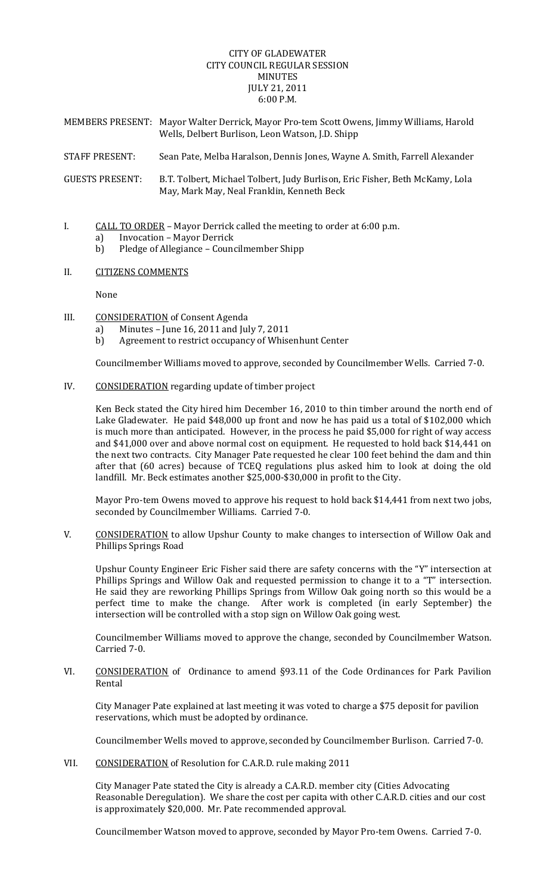## CITY OF GLADEWATER CITY COUNCIL REGULAR SESSION MINUTES JULY 21, 2011 6:00 P.M.

- MEMBERS PRESENT: Mayor Walter Derrick, Mayor Pro‐tem Scott Owens, Jimmy Williams, Harold Wells, Delbert Burlison, Leon Watson, J.D. Shipp
- STAFF PRESENT: Sean Pate, Melba Haralson, Dennis Jones, Wayne A. Smith, Farrell Alexander

GUESTS PRESENT: B.T. Tolbert, Michael Tolbert, Judy Burlison, Eric Fisher, Beth McKamy, Lola May, Mark May, Neal Franklin, Kenneth Beck

# I. CALL TO ORDER – Mayor Derrick called the meeting to order at 6:00 p.m.

- a) Invocation Mayor Derrick
- b) Pledge of Allegiance Councilmember Shipp

### II. CITIZENS COMMENTS

None

- III. CONSIDERATION of Consent Agenda
	- a) Minutes June 16, 2011 and July 7, 2011
	- b) Agreement to restrict occupancy of Whisenhunt Center

Councilmember Williams moved to approve, seconded by Councilmember Wells. Carried 7‐0.

IV. CONSIDERATION regarding update of timber project

Ken Beck stated the City hired him December 16, 2010 to thin timber around the north end of Lake Gladewater. He paid \$48,000 up front and now he has paid us a total of \$102,000 which is much more than anticipated. However, in the process he paid \$5,000 for right of way access and \$41,000 over and above normal cost on equipment. He requested to hold back \$14,441 on the next two contracts. City Manager Pate requested he clear 100 feet behind the dam and thin after that (60 acres) because of TCEQ regulations plus asked him to look at doing the old landfill. Mr. Beck estimates another \$25,000‐\$30,000 in profit to the City.

Mayor Pro-tem Owens moved to approve his request to hold back \$14,441 from next two jobs, seconded by Councilmember Williams. Carried 7‐0.

V. CONSIDERATION to allow Upshur County to make changes to intersection of Willow Oak and Phillips Springs Road

Upshur County Engineer Eric Fisher said there are safety concerns with the "Y" intersection at Phillips Springs and Willow Oak and requested permission to change it to a "T" intersection. He said they are reworking Phillips Springs from Willow Oak going north so this would be a perfect time to make the change. After work is completed (in early September) the intersection will be controlled with a stop sign on Willow Oak going west.

Councilmember Williams moved to approve the change, seconded by Councilmember Watson. Carried 7‐0.

VI. CONSIDERATION of Ordinance to amend §93.11 of the Code Ordinances for Park Pavilion Rental

City Manager Pate explained at last meeting it was voted to charge a \$75 deposit for pavilion reservations, which must be adopted by ordinance.

Councilmember Wells moved to approve, seconded by Councilmember Burlison. Carried 7‐0.

VII. CONSIDERATION of Resolution for C.A.R.D. rule making 2011

City Manager Pate stated the City is already a C.A.R.D. member city (Cities Advocating Reasonable Deregulation). We share the cost per capita with other C.A.R.D. cities and our cost is approximately \$20,000. Mr. Pate recommended approval.

Councilmember Watson moved to approve, seconded by Mayor Pro‐tem Owens. Carried 7‐0.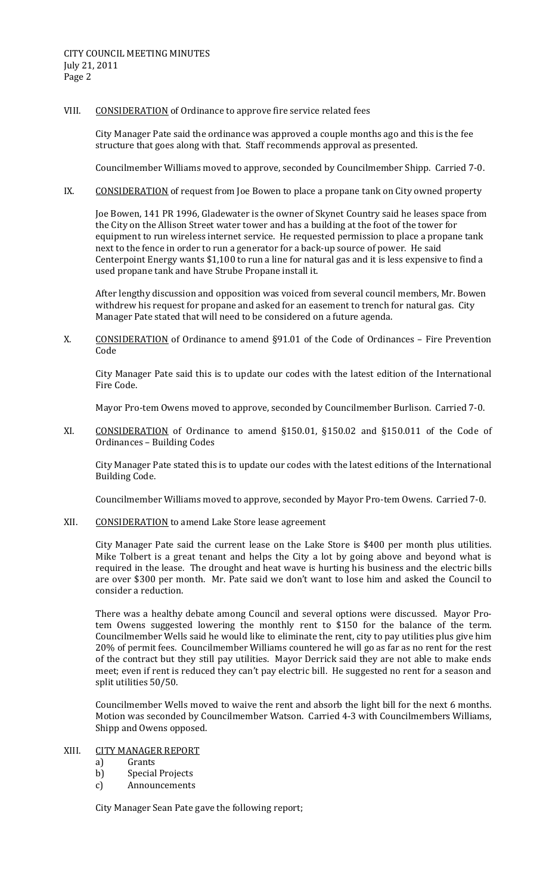#### VIII. CONSIDERATION of Ordinance to approve fire service related fees

City Manager Pate said the ordinance was approved a couple months ago and this is the fee structure that goes along with that. Staff recommends approval as presented.

Councilmember Williams moved to approve, seconded by Councilmember Shipp. Carried 7‐0.

IX. CONSIDERATION of request from Joe Bowen to place a propane tank on City owned property

Joe Bowen, 141 PR 1996, Gladewater is the owner of Skynet Country said he leases space from the City on the Allison Street water tower and has a building at the foot of the tower for equipment to run wireless internet service. He requested permission to place a propane tank next to the fence in order to run a generator for a back‐up source of power. He said Centerpoint Energy wants \$1,100 to run a line for natural gas and it is less expensive to find a used propane tank and have Strube Propane install it.

After lengthy discussion and opposition was voiced from several council members, Mr. Bowen withdrew his request for propane and asked for an easement to trench for natural gas. City Manager Pate stated that will need to be considered on a future agenda.

X. CONSIDERATION of Ordinance to amend §91.01 of the Code of Ordinances - Fire Prevention Code

City Manager Pate said this is to update our codes with the latest edition of the International Fire Code.

Mayor Pro‐tem Owens moved to approve, seconded by Councilmember Burlison. Carried 7‐0.

XI. CONSIDERATION of Ordinance to amend §150.01, §150.02 and §150.011 of the Code of Ordinances – Building Codes

City Manager Pate stated this is to update our codes with the latest editions of the International Building Code.

Councilmember Williams moved to approve, seconded by Mayor Pro‐tem Owens. Carried 7‐0.

XII. CONSIDERATION to amend Lake Store lease agreement

City Manager Pate said the current lease on the Lake Store is \$400 per month plus utilities. Mike Tolbert is a great tenant and helps the City a lot by going above and beyond what is required in the lease. The drought and heat wave is hurting his business and the electric bills are over \$300 per month. Mr. Pate said we don't want to lose him and asked the Council to consider a reduction.

There was a healthy debate among Council and several options were discussed. Mayor Protem Owens suggested lowering the monthly rent to \$150 for the balance of the term. Councilmember Wells said he would like to eliminate the rent, city to pay utilities plus give him 20% of permit fees. Councilmember Williams countered he will go as far as no rent for the rest of the contract but they still pay utilities. Mayor Derrick said they are not able to make ends meet; even if rent is reduced they can't pay electric bill. He suggested no rent for a season and split utilities 50/50.

Councilmember Wells moved to waive the rent and absorb the light bill for the next 6 months. Motion was seconded by Councilmember Watson. Carried 4‐3 with Councilmembers Williams, Shipp and Owens opposed.

# XIII. CITY MANAGER REPORT

- a) Grants
- b) Special Projects
- c) Announcements

City Manager Sean Pate gave the following report;